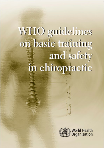# WHO guidelines on basic traiming and safety in chiropractic

Parshimbalis

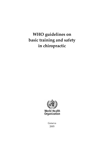# **WHO guidelines on basic training and safety in chiropractic**



Geneva 2005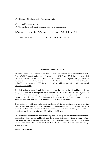WHO Library Cataloguing‐in‐Publication Data

World Health Organization. WHO guidelines on basic training and safety in chiropractic.

1.Chiropractic ‐ education 2.Chiropractic ‐ standards 3.Guidelines I.Title.

ISBN 92 4 159371 7 (NLM classification: WB 905.7)

#### **© World Health Organization 2005**

All rights reserved. Publications of the World Health Organization can be obtained from WHO Press, World Health Organization, 20 Avenue Appia, 1211 Geneva 27, Switzerland (tel: +41 22 791 2476; fax: +41 22 791 4857; email: bookorders@who.int). Requests for permission to reproduce or translate WHO publications – whether for sale or for noncommercial distribution – should be addressed to WHO Press, at the above address (fax: +41 22 791 4806; email: permissions@who.int).

The designations employed and the presentation of the material in this publication do not imply the expression of any opinion whatsoever on the part of the World Health Organization concerning the legal status of any country, territory, city or area or of its authorities, or concerning the delimitation of its frontiers or boundaries. Dotted lines on maps represent approximate border lines for which there may not yet be full agreement.

The mention of specific companies or of certain manufacturers' products does not imply that they are endorsed or recommended by the World Health Organization in preference to others of a similar nature that are not mentioned. Errors and omissions excepted, the names of proprietary products are distinguished by initial capital letters.

All reasonable precautions have been taken by WHO to verify the information contained in this publication. However, the published material is being distributed without warranty of any kind, either express or implied. The responsibility for the interpretation and use of the material lies with the reader. In no event shall the World Health Organization be liable for damages arising from its use.

Printed in Switzerland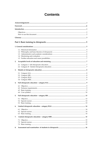# **Contents**

| 2. |  |
|----|--|
|    |  |
|    |  |
| 3. |  |
|    |  |
|    |  |
|    |  |
|    |  |
| 4. |  |
|    |  |
|    |  |
|    |  |
|    |  |
|    |  |
| 5. |  |
|    |  |
|    |  |
|    |  |
| 6. |  |
|    |  |
|    |  |
|    |  |
| 7. |  |
|    |  |
|    |  |
|    |  |
| 8. |  |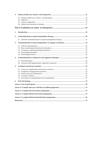| 9. |  |  |  |  |  |  |  |  |  |
|----|--|--|--|--|--|--|--|--|--|
|    |  |  |  |  |  |  |  |  |  |
|    |  |  |  |  |  |  |  |  |  |
|    |  |  |  |  |  |  |  |  |  |
|    |  |  |  |  |  |  |  |  |  |
|    |  |  |  |  |  |  |  |  |  |
| 1. |  |  |  |  |  |  |  |  |  |
| 2. |  |  |  |  |  |  |  |  |  |
|    |  |  |  |  |  |  |  |  |  |
| 3. |  |  |  |  |  |  |  |  |  |
|    |  |  |  |  |  |  |  |  |  |
|    |  |  |  |  |  |  |  |  |  |
|    |  |  |  |  |  |  |  |  |  |
|    |  |  |  |  |  |  |  |  |  |
|    |  |  |  |  |  |  |  |  |  |
| 4. |  |  |  |  |  |  |  |  |  |
|    |  |  |  |  |  |  |  |  |  |
|    |  |  |  |  |  |  |  |  |  |
| 5. |  |  |  |  |  |  |  |  |  |
|    |  |  |  |  |  |  |  |  |  |
|    |  |  |  |  |  |  |  |  |  |
|    |  |  |  |  |  |  |  |  |  |
|    |  |  |  |  |  |  |  |  |  |
|    |  |  |  |  |  |  |  |  |  |
| 6. |  |  |  |  |  |  |  |  |  |
|    |  |  |  |  |  |  |  |  |  |
|    |  |  |  |  |  |  |  |  |  |
|    |  |  |  |  |  |  |  |  |  |
|    |  |  |  |  |  |  |  |  |  |
|    |  |  |  |  |  |  |  |  |  |
|    |  |  |  |  |  |  |  |  |  |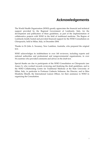# **Acknowledgements**

The World Health Organization (WHO) greatly appreciates the financial and technical support provided by the Regional Government of Lombardy, Italy, for the development and publication of these guidelines, as part of the implementation of collaborative projects with WHO in the field of traditional medicine. The Region of Lombardy kindly hosted and provided financial support for the WHO Consultation on Chiropractic, held in Milan, Italy, in December 2004.

Thanks to Dr John A. Sweaney, New Lambton, Australia, who prepared the original text.

WHO acknowledges its indebtedness to over 160 reviewers, including experts and national authorities and professional and nongovernmental organizations, in over 54 countries who provided comments and advice on the draft text.

Special thanks are due to participants of the WHO Consultation on Chiropractic (see Annex 1), who worked towards reviewing and finalizing the draft guidelines, and to the WHO Collaborating Centre for Traditional Medicine at the State University of Milan, Italy, in particular to Professor Umberto Solimene, the Director, and to Miss Elisabetta Minelli, the International Liaison Officer, for their assistance to WHO in organizing the Consultation.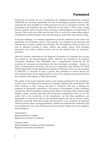# **Foreword**

During the last decade, the use of traditional and complementary/alternative medicine (TM/CAM) has increased considerably not only in developing countries, where it often represents the only possibility for health protection, but also in developed countries. The percentage of the population that uses TM/CAM is in the order of 50% in many of high income countries, such as Canada, France, Germany, United Kingdom and United States of America. This occurs also in Italy (not less than 15%) as well as for certain Italian regions, including the Lombardy Region, where the percentage is around 20% and continues rising.

Facing this challenge, it is extremely important to create the conditions for the correct and appropriate use of methods which, if used correctly, can contribute to the protection and enhancement of citizens' health and well being. The development of these practices can only be obtained according to safety, efficacy and quality criteria. Such principles characterize the modern medical practice and are the essential basis for consumers' protection.

TM/CAM activities undertaken by the Regional Government of Lombardy have always been guided by the abovementioned criteria. TM/CAM was included in the Regional Community Healthcare Plan (2002‐2004), and a comprehensive framework for the protection of consumers and practitioners has been developed accordingly ‐ thanks to a series of administrative provisions. The four‐year cooperation plan between the World Health Organization and the Regional Government of Lombardy on the use and evaluation of TM/CAM is a keystone in such a process. The promotion of several clinical and observational studies on the regional territory is also to be considered an important step for the evaluation of the efficacy of TM/CAM methods.

The quality of the practice depends mainly on the training performed by the practitioner. For this reason, the Regional Government of Lombardy supported the development of the *WHO Guidelines on Basic Training and Safety in Chiropractic* that aim at defining the requisites for chiropractic practitioners. The process of development of these Guidelines included the WHO Consultation meeting held in Milan in December 2004, which brought together experts, national authorities and professional organizations from all over the world. One of the conclusions of the Consultation was that these guidelines were appropriate as resources not only for the Lombardy Region, but also for various country situations worldwide. With this in mind, this document is to be considered an important reference point for those, among practitioners, political and administrative authorities, that want chiropractic to be a safe and efficacious aid for citizens' health and for any regulatory and licensing act.

Alessandro Cè Regional Minister of Health Regional Government of Lombardy

Giancarlo Abelli Regional Minister of Family and Social Solidarity Regional Government of Lombardy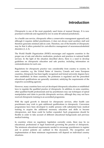# **Introduction**

Chiropractic is one of the most popularly used forms of manual therapy. It is now practised worldwide and regulated by law in some 40 national jurisdictions.

As a health care service, chiropractic offers a conservative management approach and, although it requires skilled practitioners, it does not always need auxiliary staff and therefore generates minimal add‐on costs. Therefore, one of the benefits of chiropractic may be that it offers potential for cost-effective management of neuromusculoskeletal disorders (1, 2, 3).

The World Health Organization (WHO) encourages and supports countries in the proper use of safe and effective medication, products and practices in national health services. In the light of the situation described above, there is a need to develop guidelines on chiropractic education and safe practice, including information on contraindications for such care.

Regulations for chiropractic practice vary considerably from country to country. In some countries, e.g. the United States of America, Canada and some European countries, chiropractic has been legally recognized and formal university degrees have been established. In these countries, the profession is regulated and the prescribed educational qualifications are generally consistent, satisfying the requirements of the respective accrediting agencies.

However, many countries have not yet developed chiropractic education or established laws to regulate the qualified practice of chiropractic. In addition, in some countries, other qualified health professionals and lay practitioners may use techniques of spinal manipulation and claim to provide chiropractic services, although they may not have received chiropractic training in an accredited programme.

With the rapid growth in demand for chiropractic services, other health care practitioners may wish to gain additional qualifications in chiropractic. Conversion programmes have been developed to enable persons with substantial basic medical training to acquire the additional necessary education and skills to become chiropractors, and these could be further expanded. Such programmes should be flexible in order to take account of different educational backgrounds and previous medical training.

In countries where no regulatory legislation currently exists, there may be no educational, professional or legal framework governing the practice of chiropractic. The minimum educational requirements needed to encourage practitioners to register and to protect patients are outlined in this document. The recognition and implementation of these minimum requirements will depend on individual country situations.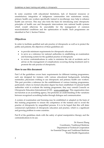In some countries with educational limitations, lack of financial resources or unsatisfactory integration of indigenous communities into mainstream society, primary health care workers specifically trained in myotherapy may help to enhance health care services. This may also form the basis for introducing some chiropractic principles of health care and therapeutic interventions into national health systems which would otherwise be unavailable for the management of common musculoskeletal conditions and the optimization of health. Such programmes are identified in Part 1, Section 9 below.

## **Objectives**

In order to facilitate qualified and safe practice of chiropractic as well as to protect the public and patients, the objectives of these guidelines are:

- to provide minimum requirements for chiropractic education
- to serve as a reference for national authorities in establishing an examination and licensing system for the qualified practice of chiropractic
- to review contraindications in order to minimize the risk of accidents and to advise on the management of complications occurring during treatment and to promote the safe practice of chiropractic.

## **How to use this document**

Part I of the guidelines covers basic requirements for different training programmes, each one designed for trainees with various educational backgrounds, including nonmedics, physicians wishing to use chiropractic and primary health care workers. This part provides a reference for the establishment of various training programmes, particularly where no formal education degree has been established. If national health authorities wish to evaluate the training programme, they may consult Councils on Chiropractic Education International (CCEI – www.cceintl.org). This organization does not function as an accrediting agency, but promotes an understanding of the variations between recognized accrediting bodies through dialogue and communication.

A system of examination and licensing may be established or adapted on the basis of this training programme to ensure the competence of the trainees and to avoid the practice of chiropractic by unqualified persons. It is to be hoped that this will deter commercial exploitation of chiropractic education and practice, which is a significant and growing problem in some countries.

Part II of the guidelines deals with the safety of spinal manipulative therapy and the contraindications to its use.

> Dr Xiaorui Zhang Coordinator, Traditional Medicine Department of Technical Cooperation for Essential Drugs and Traditional Medicine World Health Organization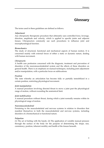# **Glossary**

The terms used in these guidelines are defined as follows.

#### *Adjustment*

Any chiropractic therapeutic procedure that ultimately uses controlled force, leverage, direction, amplitude and velocity, which is applied to specific joints and adjacent tissues. Chiropractors commonly use such procedures to influence joint and neurophysiological function.

#### *Biomechanics*

The study of structural, functional and mechanical aspects of human motion. It is concerned mainly with external forces of either a static or dynamic nature, dealing with human movement.

#### *Chiropractic*

A health care profession concerned with the diagnosis, treatment and prevention of disorders of the neuromusculoskeletal system and the effects of these disorders on general health. There is an emphasis on manual techniques, including joint adjustment and/or manipulation, with a particular focus on subluxations.

#### *Fixation*

The state whereby an articulation has become fully or partially immobilized in a certain position, restricting physiological movement.

#### *Joint manipulation*

A manual procedure involving directed thrust to move a joint past the physiological range of motion, without exceeding the anatomical limit.

#### *Joint mobilization*

A manual procedure without thrust, during which a joint normally remains within its physiological range of motion.

#### *Neuromusculoskeletal*

Pertaining to the musculoskeletal and nervous systems in relation to disorders that manifest themselves in both the musculoskeletal and nervous systems, including disorders of a biomechanical or functional nature.

#### $Palpation$

(1) The act of feeling with the hands. (2) The application of variable manual pressure through the surface of the body for the purpose of determining the shape, size, consistency, position, inherent motility and health of the tissues beneath.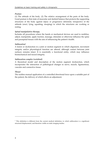#### $Posture$

(1) The attitude of the body. (2) The relative arrangement of the parts of the body. Good posture is that state of muscular and skeletal balance that protects the supporting structures of the body against injury or progressive deformity irrespective of the attitude (erect, lying, squatting, stooping) in which the structures are working or resting.

#### *Spinal manipulative therapy*

Includes all procedures where the hands or mechanical devices are used to mobilize, adjust, manipulate, apply traction, massage, stimulate or otherwise influence the spine and paraspinal tissues with the aim of influencing the patient's health.

#### *Subluxation1*

A lesion or dysfunction in a joint or motion segment in which alignment, movement integrity and/or physiological function are altered, although contact between joint surfaces remains intact. It is essentially a functional entity, which may influence biomechanical and neural integrity.

#### *Subluxation complex (vertebral)*

<u> 1989 - Johann Barn, mars eta bainar eta bainar eta baina eta baina eta baina eta baina eta baina eta baina e</u>

A theoretical model and description of the motion segment dysfunction, which incorporates the interaction of pathological changes in nerve, muscle, ligamentous, vascular and connective tissue.

#### *Thrust*

The sudden manual application of a controlled directional force upon a suitable part of the patient, the delivery of which effects an adjustment.

<sup>&</sup>lt;sup>1</sup> This definition is different from the current medical definition, in which subluxation is a significant structural displacement, and therefore visible on static imaging studies.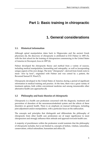# **Part 1: Basic training in chiropractic**

# **1. General considerations**

## **1.1. Historical information**

Although spinal manipulation dates back to Hippocrates and the ancient Greek physicians (4), the discovery of chiropractic is attributed to D.D. Palmer in 1895 (5), with the first school for the training of chiropractors commencing in the United States of America in Davenport, Iowa in 1897 (6).

Palmer developed the chiropractic theory and method from a variety of sources, including medical manipulation, bonesetting and osteopathy, as well as incorporating unique aspects of his own design. The term "chiropractic", derived from Greek roots to mean *"done by hand"*, originated with Palmer and was coined by a patient, the Reverend Samuel H. Weed (7).

Chiropractic developed in the United States of America during a period of significant reformation in medical training and practice. At the time, there was a great variety of treatment options, both within conventional medicine and among innumerable other alternative health care approaches (8).

## **1.2 Philosophy and basic theories of chiropractic**

Chiropractic is a health care profession concerned with the diagnosis, treatment and prevention of disorders of the neuromusculoskeletal system and the effects of these disorders on general health. There is an emphasis on manual techniques, including joint adjustment and/or manipulation, with a particular focus on the subluxation.

The concepts and principles that distinguish and differentiate the philosophy of chiropractic from other health care professions are of major significance to most chiropractors and strongly influence their attitude and approach towards health care.

A majority of practitioners within the profession would maintain that the philosophy of chiropractic includes, but is not limited to, concepts of holism, vitalism, naturalism, conservatism, critical rationalism, humanism and ethics (9).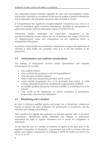The relationship between structure, especially the spine and musculoskeletal system, and function, especially as coordinated by the nervous system, is central to chiropractic and its approach to the restoration and preservation of health (9, 10:167).

It is hypothesized that significant neurophysiological consequences may occur as a result of mechanical spinal functional disturbances, described by chiropractors as subluxation and the vertebral subluxation complex (9, 10:169-170, 11).

Chiropractic practice emphasizes the conservative management of the neuromusculoskeletal system, without the use of medicines and surgery (10:169‐170, 11). Biopsychosocial causes and consequences are also significant factors in management of the patient.

As primary-contact health care practitioners, chiropractors recognize the importance of referring to other health care providers when it is in the best interests of the patient (10).

# **1.3 Administrative and academic considerations**

The training of chiropractors involves certain administrative and academic considerations, for example:

- who could be trained?
- what would be the practitioner's role and responsibilities?
- what education would be required?
- where would such education be provided, and by whom?
- would suitable programmes have to be developed from scratch, or could existing substandard courses be strengthened or appropriately modified?
- are suitably qualified chiropractic educators available, or would they have to be trained?
- what would be the mechanisms for official recognition of practitioners, programmes, educators and institutions?

# **1.4 Monitoring and evaluation**

In order to introduce qualified practice and proper use of chiropractic, systems are needed to monitor the entire profession, the performance of practitioners and the education and training of practitioners.

Most countries that regulate the profession use national, regional, state or provincial examinations. Alternatively, health authorities may delegate to professional associations the right to regulate themselves and to ensure the competence of individuals.

As has been the case in a number of countries or regions in the past, prior to the legislative recognition of chiropractic, a government may wish to evaluate both the positive and negative consequences of including it within the health care service (12, 13, 14, 15, 16, 17).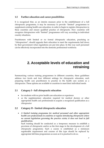## **1.5 Further education and career possibilities**

It is recognized that, as an interim measure prior to the establishment of a full chiropractic programme, it may be necessary to provide "limited" programmes to supplement existing health care education, in order to begin to register chiropractors in these countries and ensure qualified practice of chiropractic. How countries will recognize chiropractors with "limited" programmes will vary according to individual country situations.

Practitioners with limited or no formal chiropractic education, practising as "chiropractors", should upgrade their education to meet the requirements laid down by their government when regulations are put into place. In this way such personnel can be effectively incorporated into the domestic professional workforce.

# **2. Acceptable levels of education and retraining**

Summarizing various training programmes in different countries, these guidelines address two levels and four different settings for chiropractic education, each preparing health care practitioners to practise in the health care system as a chiropractor. These options are available to countries to meet their individual needs.

## **2.1 Category I ‐ full chiropractic education**

- for students with no prior health care education or experience
- as the supplementary education required for medical doctors or other appropriate health care professionals to acquire a recognized qualification as a chiropractor

# **2.2 Category II ‐ limited chiropractic education**

• *A limited training programme for medical personnel and other appropriate health care professionals in countries or regions introducing chiropractic where no current legislation governing the practice exists; it does not lead to full qualification.*

Such training should be conducted as a temporary measure to establish a provision of chiropractic and/or as the first stage in the development of a full chiropractic programme. Such a course is established as a minimum registerable requirement and courses of this type should be replaced by appropriate full‐time programmes as soon as it is practical to do so.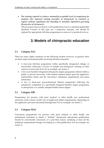• *The training required to attain a minimally acceptable level of competency for students who represent existing providers of chiropractic in countries or regions without regulations but intending to introduce legislation governing the practice of chiropractic.*

This provision does not lead to a full qualification, but to a minimal registerable standard. Courses of this type are a temporary measure, and should be replaced by appropriate full-time programmes as soon as it is practical to do so.

# **3. Models of chiropractic education**

## **3.1 Category I(A)**

There are many slight variations on the following models: however, in general, there are three major educational paths involving full‐time education:

- A four-year full-time programme within specifically designated colleges or universities, following 1‐4 years of suitable pre‐chiropractic training in basic sciences at university level; for an example, see Annex 2.
- A five-year bachelor integrated chiropractic degree programme offered within a public or private university, with student entrance based upon the applicant's matriculation status and the university's admission requirements and quota restrictions.
- A two or three‐year pre‐professional Masters programme following the satisfactory completion of a specifically designed bachelor degree programme in chiropractic or a suitably adapted health science degree.

## **3.2 Category I(B)**

Programmes for persons with prior medical or other health care professional education. Such courses would vary in length and subject requirements, depending on the applicant's previous educational background. For an example, see Annex 3.

## **3.3 Category II(A)**

Conversion programmes for persons with prior medical or other health care professional education to obtain a "limited" chiropractic educational qualification should be conveniently structured, of a part‐time nature, satisfying at least all the minimum requirements though not leading to a full qualification. For an example, see Annex 4.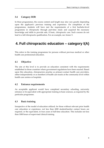## **3.4 Category II(B)**

In these programmes, the course content and length may also vary greatly depending upon the applicant's previous training and experience. On completion of the programmes, students will have met the requirements of a first bachelor‐level programme in chiropractic through part‐time study and acquired the necessary knowledge and skills to provide safe, if basic, chiropractic care. Such courses do not lead to a full chiropractic qualification. For an example, see Annex 5.

# **4. Full chiropractic education – category I(A)**

This refers to the training programme for persons without previous medical or other health care professional education.

## **4.1 Objective**

The aim at this level is to provide an education consistent with the requirements established in those countries where government regulations have been enacted. Based upon this education, chiropractors practise as primary‐contact health care providers, either independently or as members of health care teams at the community level within health care centres or hospitals.

#### **4.2 Entrance requirements**

An acceptable applicant would have completed secondary schooling, university entrance or its equivalent with appropriate training in basic sciences, as required by the particular programme.

#### **4.3 Basic training**

Irrespective of the model of education utilized, for those without relevant prior health care education or experience, not less than 4200 student/teacher contact hours are required, or the equivalent, in four years of full-time education. This includes not less than 1000 hours of supervised clinical training.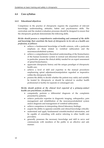# **4.4 Core syllabus**

#### **4.4.1 Educational objectives**

Competence in the practice of chiropractic requires the acquisition of relevant knowledge, understanding, attitudes, habits and psychomotor skills. The curriculum and the student evaluation processes should be designed to ensure that the chiropractic graduate demonstrates the following skills.

#### *He/she should possess a comprehensive understanding and command of the skills and knowledge that constitute the basis of chiropractic in its role as a health care profession, as follows:*

- achieve a fundamental knowledge of health sciences, with a particular emphasis on those related to vertebral subluxation and the neuromusculoskeletal systems;
- achieve a comprehensive theoretical understanding of the biomechanics of the human locomotor system in normal and abnormal function and, in particular, possess the clinical ability needed for an expert assessment of spinal biomechanics;
- appreciate chiropractic history and the unique paradigm of chiropractic health care;
- achieve a level of skill and expertise in the manual procedures emphasizing spinal adjustment/manipulation regarded as imperative within the chiropractic field;
- possess the ability to decide whether the patient may safely and suitably be treated by chiropractic or should be referred to another health professional or facility for separate or comanaged care.

#### *He/she should perform at the clinical level expected of a primary‐contact health care practitioner, as follows:*

- competently perform a differential diagnosis of the complaints presented by patients;
- achieve particular expertise in diagnostic imaging, orthopaedics, pain management and rehabilitation of the neuromusculoskeletal system and/or diagnosis and management of vertebral subluxation;
- achieve competence in interpreting clinical laboratory findings;
- acquire the ability to appraise scientific and clinical knowledge critically:
- understand and apply fundamental scientific/medical information, and be capable of consulting with and/or referring to other health care providers;
- generally possesses the necessary knowledge and skill to serve and communicate with members of the public in an effective and safe manner.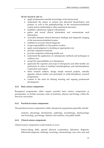*He/she should be able to:* 

- apply fundamental scientific knowledge of the human body
- understand the nature of normal and abnormal biomechanics and posture, as well as the pathophysiology of the neuromusculoskeletal system and its relationship to other anatomical structures
- establish a satisfactory rapport with patients
- gather and record clinical information and communicate such information
- accurately interpret clinical laboratory findings and diagnostic imaging of the neuromusculoskeletal system
- establish an accurate clinical diagnosis
- accept responsibility for the patient's welfare
- apply sound judgment in deciding on appropriate care
- provide competent treatment
- provide competent continuing health care
- understand the application of contemporary methods and techniques in wellness care
- accept the responsibilities of a chiropractor
- appreciate the expertise and scope of chiropractic and other health care professions in order to facilitate intradisciplinary and interdisciplinary cooperation and respect
- select research subjects, design simple research projects, critically appraise clinical studies and participate in multi‐disciplinary research programmes
- commit to the need for lifelong learning and ongoing professional development.

#### **4.4.2 Basic science components**

Recognized programmes either require essential basic science components as prerequisites, or include necessary units of chemistry, physics and biology within the first‐year curriculum.

#### **4.4.3 Preclinical science components**

The preclinical science components within chiropractic programmes generally include:

anatomy, physiology, biochemistry, pathology, microbiology, pharmacology and toxicology, psychology, dietetics and nutrition, and public health.

#### **4.4.4 Clinical science components**

Clinical science components would include or cover:

history-taking skills, general physical examination, laboratory diagnosis, differential diagnosis, radiology, neurology, rheumatology, eyes, ears, nose and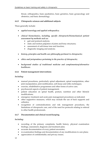throat, orthopaedics, basic paediatrics, basic geriatrics, basic gynaecology and obstetrics, and basic dermatology.

#### **4.4.5 Chiropractic sciences and additional subjects**

These generally include:

- *applied neurology and applied orthopaedics;*
- *clinical biomechanics, including, specific chiropractic/biomechanical patient assessment by methods such as:*
	- gait and postural analysis;
	- static and motion palpation of joints and bony structures;
	- assessment of soft-tissue tone and function;
	- diagnostic imaging and analysis;
- *history, principles and health care philosophy pertinent to chiropractic;*
- *ethics and jurisprudence pertaining to the practice of chiropractic;*
- *background studies of traditional medicine and complementary/alternative healthcare.*

#### **4.4.6 Patient management interventions**

#### *Including:*

- manual procedures, particularly spinal adjustment, spinal manipulation, other joint manipulation, joint mobilization, soft-tissue and reflex techniques;
- exercise, rehabilitative programmes and other forms of active care;
- psychosocial aspects of patient management;
- patient education on spinal health, posture, nutrition and other lifestyle modifications;
- emergency treatment and acute pain management procedures as indicated;
- other supportive measures, which may include the use of back supports and orthotics;
- recognition of contraindications and risk management procedures, the limitations of chiropractic care, and of the need for protocols relating to referral to other health professionals.

#### **4.4.7 Documentation and clinical record‐keeping**

#### *Including:*

- recording of the primary complaints, health history, physical examination findings, assessment, diagnosis and treatment plan;
- accurate documentation of every patient encounter;
- re-examination findings and documentation of any modifications to care plans;
- appreciation of confidentiality and privacy issues;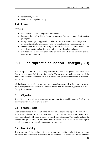- consent obligations;
- insurance and legal reporting.

#### **4.4.8 Research**

*Including:* 

- basic research methodology and biostatistics;
- interpretation of evidence-based procedures/protocols and best-practice principles;
- an epidemiological approach to clinical record-keeping, encouragement to document particular case‐studies and participate in field research projects;
- development of a critical‐thinking approach in clinical decision‐making, the consideration of published papers and relevant clinical guidelines;
- development of the necessary skills to keep abreast of the relevant current research and literature.

# **5. Full chiropractic education – category I(B)**

Full chiropractic education, including entrance requirements, generally requires from four to seven years' full-time tertiary study. The curriculum includes a study of the basic and preclinical sciences similar in duration and quality to that found in a medical education.

Medical doctors and other health care professionals may complete the requirements for a full chiropractic education over a shorter period because of credits granted in view of their prior education.

# **5.1 Objective**

The objective of such an educational programme is to enable suitable health care practitioners to qualify as chiropractors.

## **5.2 Special courses**

Such programmes may be full-time or part-time, depending upon the educational experience and circumstances of the student cohort. Programmes are designed to cover those subjects not addressed in previous health care education. This would include the specific chiropractic subjects and those medical science subjects where the training has been inadequate for the requirements of a chiropractor.

## **5.3 Basic training**

The duration of the training depends upon the credits received from previous education and experience, but should not be less than 2200 hours over a two- or three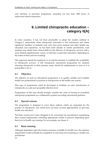year full-time or part-time programme, including not less than 1000 hours of supervised clinical experience.

# **6. Limited chiropractic education – category II(A)**

In some countries, it has not been practicable to adopt the models outlined in Category I, particularly when chiropractic education is first introduced and where significant numbers of students exist who have prior medical and other health care education and experience. As has been done already in certain jurisdictions, such students may obtain basic clinical skills for the delivery of chiropractic services with a more limited supplementary course, of full‐time or part‐time education, depending on the extent of their previous training.

This approach should be employed as an interim measure to establish the availability of chiropractic services. A full chiropractic educational programme for students choosing chiropractic as their primary career should be implemented as soon as it is practicable to do so.

# **6.1 Objective**

The objective of such an educational programme is to qualify suitable and available health care professionals to practise as chiropractors in the health care system.

This type of programme could be developed to facilitate an early introduction of chiropractic at a safe and acceptably effective level.

Programmes of this type should strongly consider the value of having an accredited chiropractic programme as a collaborative partner providing educational guidance.

## **6.2 Special courses**

The programme is designed to cover those subjects which are important for the practice of chiropractic and which have not been covered appropriately in previous health care education.

Part-time courses have been designed to be convenient for practitioners maintaining their current employment, extending appropriate credits to persons depending upon their level of health care training. For an example, see Annex 4.

## **6.3 Basic training**

Although dependent upon the human resources available for health care, the entrance requirement would normally be completion of university‐level training as a health care practitioner.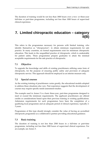The duration of training would be not less than 1800 hours over a two- or three-year full-time or part-time programme, including not less than 1000 hours of supervised clinical experience.

# **7. Limited chiropractic education – category II(B)**

This refers to the programmes necessary for persons with limited training, who identify themselves as "chiropractors", to obtain minimum requirements for safe practice. In many countries, no formal requirements exist for minimum chiropractic education. This leads to the unqualified practice of chiropractic, which is undesirable for patient safety. These programmes prepare graduates to attain the minimal acceptable requirements for the safe practice of chiropractic.

# **7.1 Objective**

To upgrade the knowledge and skills of existing practitioners utilizing some form of chiropractic, for the purpose of ensuring public safety and provision of adequate chiropractic service. This approach should be employed as an interim measure only.

# **7.2 Special courses**

As the existing training of practitioners varies greatly, the educational models adopted to address these situations also vary. Past experience suggests that the development of courses may require specific needs‐assessment studies.

The example used in Annex 5 is a basic three‐year, part‐time programme designed to meet or exceed the minimum requirements. The applicant practitioners are offered credits or considerations based upon their previous training or existing qualifications. Admission requirements for such programmes have been the completion of a qualifying local programme and an adequate period of clinical experience, typically 2‐ 3 years.

Programmes of this type should strongly consider the value of having an accredited chiropractic programme as a collaborative partner providing educational guidance.

## **7.3 Basic training**

The duration of training is not less than 2500 hours in a full-time or part-time programme, including not less than 1000 hours of supervised clinical experience. For an example, see Annex 5.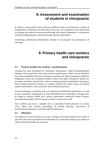# **8. Assessment and examination of students in chiropractic**

In order to ensure patient safety and the qualified practice of chiropractic, a system of independent examination and licensing is necessary. On completion of the full period of training, the student's theoretical knowledge and clinical competence in chiropractic should be independently evaluated through official examinations.

Continuing professional development should be encouraged for maintenance of licensing.

# **9. Primary health care workers and chiropractic**

# **9.1 Primary health care workers ‐ myotherapists**

Training has been developed by individual chiropractors within multidisciplinary settings, with programmes that meet national requirements. These courses introduce basic musculoskeletal soft‐tissue techniques, massage and other management skills for indigenous nurses and community health workers who apply chiropractic health care principles and basic interventions without employing spinal manipulative techniques. Such training should be sensitive to existing cultural and ethnic issues and should explore and embrace, where practical, local traditional practices.

Certain techniques to alleviate pain and address musculoskeletal dysfunction, as well as the constructive management of musculoskeletal factors amenable to change, may be taught to primary health care workers, particularly community health workers, increasing the quality of life for people in rural or remote areas (18).

Such workers may have a valuable role in community health education in various ways. These may include counselling on healthy lifestyles, prevention of musculoskeletal disorders and other public health issues.

## **9.2 Objective**

The objective of such courses is to create a category of primary health care worker to provide a first level of treatment and education in a community setting as an adjunct to other community health care measures.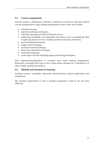#### **9.3 Course components**

Courses contain a combination of flexible, compulsory and elective units that address various competencies to meet existing requirements on‐site. These may include:

- remedial massage;
- specific myotherapy techniques;
- culturally appropriate health and lifestyle advice;
- addressing modifiable musculoskeletal risk factors, such as maintaining ideal weight and physical activity, smoking cessation and injury prevention;
- musculoskeletal assessment;
- trigger-point techniques;
- myofascial tension technique;
- deep tissue stimulation technique;
- stretching techniques;
- sports injury first aid (including taping and bracing techniques).

Joint adjustment/manipulation is excluded from these training programmes. Indications warranting this type of care would require attention by a chiropractor or other suitably qualified practitioner.

#### **9.4 Method and duration of training**

Training involves workshops, interactive demonstrations, clinical applications and assignments.

The duration (supervised) of such a training programme would be not less than 300 hours.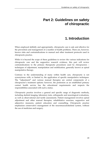# **Part 2: Guidelines on safety of chiropractic**

# **1. Introduction**

When employed skilfully and appropriately, chiropractic care is safe and effective for the prevention and management of a number of health problems. There are, however, known risks and contraindications to manual and other treatment protocols used in chiropractic practice.

While it is beyond the scope of these guidelines to review the various indications for chiropractic care and the supportive research evidence, this part will review contraindications to the primary therapeutic procedures used by chiropractors – techniques of adjustment, manipulation and mobilization, generally known as spinal manipulative therapy.

Contrary to the understanding of many within health care, chiropractic is not synonymous with, or limited to, the application of specific manipulative techniques. The **"**adjustment**"** and various manual therapies are central components of a chiropractor's treatment options: however, the profession as an established primary contact health service has the educational requirements and respects the responsibilities associated with such a status.

Chiropractic practice involves a general and specific range of diagnostic methods**,** including skeletal imaging, laboratory tests, orthopaedic and neurological evaluations, as well as observational and tactile assessments. Patient management involves spinal adjustment and other manual therapies, rehabilitative exercises, supportive and adjunctive measures, patient education and counselling. Chiropractic practice emphasizes conservative management of the neuromusculoskeletal system, without the use of medicines and surgery.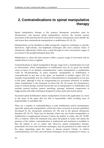# **2. Contraindications to spinal manipulative therapy**

Spinal manipulative therapy is the primary therapeutic procedure used by chiropractors, and because spinal manipulation involves the forceful passive movement of the joint beyond its active limit of motion, chiropractors must identify the risk factors that contraindicate manipulation or mobilization (19, 20, 21).

Manipulations can be classified as either nonspecific, long‐lever techniques or specific, short-lever, high-velocity, low-amplitude techniques (the most common forms of chiropractic adjustment) which move a joint through its active and passive ranges of movement to the paraphysiological space (22).

Mobilization is where the joint remains within a passive range of movement and no sudden thrust or force is applied.

Contraindications to spinal manipulative therapy range from a nonindication for such an intervention, where manipulation or mobilization may do no good, but should cause no harm, to an absolute contraindication, where manipulation or mobilization could be life‐threatening. In many instances, manipulation or mobilization is contraindicated in one area of the spine, yet beneficial in another region (23). For example, hypermobility may be a relative contraindication to manipulation in one area of the spine, although it may be compensating for movement restriction in another where manipulation is the treatment of choice (24, 25). Of course, the chiropractor's scope in manual therapy extends beyond the use of manipulation or mobilization and includes manual traction, passive stretching, massage, ischaemic compression of trigger points and reflex techniques designed to reduce pain and muscle spasm.

Successful spinal mobilization and/or manipulation involves the application of a force to the areas of the spine that are stiff or hypomobile, while avoiding areas of hypermobility or instability (26).

There are a number of contraindications to joint mobilization and/or manipulation, especially spinal joint manipulation, which have been reviewed in practice guidelines developed by the chiropractic profession (27, 28) and in the general chiropractic literature (29, 30, 31). These may be absolute**,** where any use of joint manipulation or mobilization is inappropriate because it places the patient at undue risk (23, 32:290‐ 291), or relative, where the treatment may place the patient at undue risk unless the presence of the relative contraindication is understood and treatment is modified so that the patient is not at undue risk. However, spinal manipulative therapy, particularly low‐force and soft‐tissue techniques, may be performed on other areas of the spine, depending upon the injury or disease present. Clearly, in relative contraindications, low-force and soft-tissue techniques are the treatments of choice, as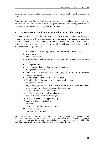both may be performed safely in most situations where a relative contraindication is present.

Conditions are listed first by absolute contraindications to spinal manipulative therapy. Absolute and relative contraindications to spinal manipulative therapy generally are then outlined as they relate to categories of disorders.

# **2.1 Absolute contraindications to spinal manipulative therapy**

It should be understood that the purpose of chiropractic spinal manipulative therapy is to correct a joint restriction or dysfunction, not necessarily to influence the disorders identified, which may be coincidentally present in a patient undergoing treatment for a different reason. Most patients with these conditions will require referral for medical care and/or comanagement (33).

- 1. anomalies such as dens hypoplasia, unstable os odontoideum, etc.
- 2. acute fracture
- 3. spinal cord tumour
- 4. acute infection such as osteomyelitis, septic discitis, and tuberculosis of the spine
- 5. meningeal tumour
- 6. haematomas, whether spinal cord or intracanalicular
- 7. malignancy of the spine
- 8. frank disc herniation with accompanying signs of progressive neurological deficit
- 9. basilar invagination of the upper cervical spine
- 10. Arnold‐Chiari malformation of the upper cervical spine
- 11. dislocation of a vertebra
- 12. aggressive types of benign tumours, such as an aneurismal bone cyst, giant cell tumour, osteoblastoma or osteoid osteoma
- 13. internal fixation/stabilization devices
- 14. neoplastic disease of muscle or other soft tissue
- 15. positive Kernig's or Lhermitte's signs
- 16. congenital, generalized hypermobility
- 17. signs or patterns of instability
- 18. syringomyelia
- 19. hydrocephalus of unknown aetiology
- 20. diastematomyelia
- 21. cauda equina syndrome

**NOTE:** In cases of internal fixation/stabilization devices, no osseous manipulation may be performed, although soft-tissue manipulation can be safely used. Spinal manipulative therapy may also only be absolutely contraindicated in the spinal region in which the pathology, abnormality or device is located, or the immediate vicinity.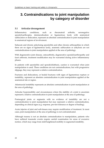# **3. Contraindications to joint manipulation by category of disorder**

## **3.1 Articular derangement**

Inflammatory conditions, such as rheumatoid arthritis, seronegative spondyloarthropies, demineralization or ligamentous laxity with anatomical subluxation or dislocation, represent an absolute contraindication to joint manipulation in anatomical regions of involvement.

Subacute and chronic ankylosing spondylitis and other chronic arthropathies in which there are no signs of ligamentous laxity, anatomic subluxation or ankylosis are not contraindications to joint manipulation applied at the area of pathology.

With degenerative joint disease, osteoarthritis, degenerative spondyloarthropathy and facet arthrosis, treatment modification may be warranted during active inflammatory phases.

In patients with spondylitis and spondylolisthesis, caution is warranted when joint manipulation is used. These conditions are not contraindications, but with progressive slippage, they may represent a relative contraindication.

Fractures and dislocations, or healed fractures with signs of ligamentous rupture or instability, represent an absolute contraindication to joint manipulation applied at the anatomical site or region.

Atlantoaxial instability represents an absolute contraindication to joint manipulation at the area of pathology.

Articular hypermobility and circumstances where the stability of a joint is uncertain represent a relative contraindication to joint manipulation at the area of pathology.

Postsurgical joints or segments with no evidence of instability are not a contraindication to joint manipulation but may represent a relative contraindication, depending on clinical signs (e.g. response, pre‐test tolerance or degree of healing).

Acute injuries of joint and soft‐tissues may require modification of treatment. In most cases, joint manipulation at the area of pathology is not contraindicated.

Although trauma is not an absolute contraindication to manipulation, patients who have suffered traumatic events require careful examination for areas of excessive motion, which may range from mild heightened mobility to segmental instability.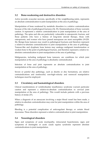# **3.2 Bone‐weakening and destructive disorders**

Active juvenile avascular necrosis, specifically of the weightbearing joints, represents an absolute contraindication to joint manipulation at the area of pathology.

Manipulation of bone weakened by metabolic disorders is a relative contraindication because of the risk of pathological fractures (34, 35). Demineralization of bone warrants caution. It represents a relative contraindication to joint manipulation at the area of pathology. The spine and ribs are particularly vulnerable to osteoporotic fracture, and those patients who have a history of long‐term steroid therapy, those with osteoporosis, and women who have passed menopause are most susceptible (19:229, 36). Benign bone tumours may result in pathological fractures and therefore represent a relative‐to‐absolute contraindication to joint manipulation at the area of pathology. Tumour‐like and dysphasic bone lesions may undergo malignant transformation or weaken bone to the point of pathological fracture, and therefore represent a relative-toabsolute contraindication to joint manipulation at the area of pathology.

Malignancies, including malignant bone tumours, are conditions for which joint manipulation at the area of pathology is absolutely contraindicated.

Infection of bone and joint represents an absolute contraindication to joint manipulation at the area of pathology.

Severe or painful disc pathology, such as discitis or disc herniations, are relative contraindications and nonforceful, non-high-velocity and nonrecoil manipulative techniques must be employed.

# **3.3 Circulatory and haematological disorders**

Clinical manifestations of vertebrobasilar insufficiency syndrome warrant particular caution and represent a relative‐to‐absolute contraindication to cervical joint manipulation at the area of pathology. This would include patients with a previous history of stroke (37).

When a diagnosis of an aneurysm involving a major blood vessel has been made, a relative‐to‐absolute contraindication may exist for joint manipulation within the area of pathology.

Bleeding is a potential complication of anticoagulant therapy or certain blood dyscrasias. These disorders represent a relative contraindication to joint manipulation.

# **3.4 Neurological disorders**

Signs and symptoms of acute myelopathy, intracranial hypertension, signs and symptoms of meningitis or acute cauda equina syndrome represent absolute contraindications to joint manipulation.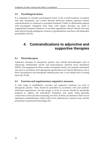## **3.5 Psychological factors**

It is important to consider psychological factors in the overall treatment of patients who seek chiropractic care. Certain aberrant behaviour patterns represent relative contraindications to continued or persistent treatment. Failure to differentiate patients with psychogenic complaints from those with organic disorders can result in inappropriate treatment. Moreover, it can delay appropriate referral. Patients who may need referral include malingerers, hysterics, hypochondriacs and those with dependent personalities (25:162).

# **4. Contraindications to adjunctive and supportive therapies**

## **4.1 Electrotherapies**

Adjunctive therapies in chiropractic practice may include electrotherapies such as ultrasound, interferential current and transcutaneous electrical nerve stimulation (TENS). The equipment for these modes of treatment needs to be properly maintained and used in accordance with appropriate specifications and clinical indications, but in these circumstances such therapeutic methods pose only a very limited risk of causing harm (38, 39, 40).

## **4.2 Exercises and supplementary supportive measures**

A wide range of rehabilitative exercises and supportive measures are used in chiropractic practice. These should be prescribed in accordance with each patient's individual requirements, and the dosage or level of exercise should be specifically designed to address the individual's limitations and needs, being generally conservative at first and then increasing over time. In these circumstances, there are no significant contraindications which could not be addressed by common sense and the practitioner's professional knowledge (41).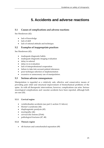# **5. Accidents and adverse reactions**

# **5.1 Causes of complications and adverse reactions**

See Henderson (42):

- lack of knowledge
- lack of skill
- lack of rational attitude and technique.

# **5.2 Examples of inappropriate practices**

See Henderson (42):

- inadequate diagnostic habits
- inadequate diagnostic imaging evaluation
- delay in referral
- delay in re-evaluation
- lack of interprofessional cooperation
- failure to take into account patient tolerances
- poor technique selection or implementation
- excessive or unnecessary use of manipulation.

## **5.3 Serious adverse consequences**

Manipulation is regarded as a relatively safe, effective and conservative means of providing pain relief and structural improvement of biomechanical problems of the spine. As with all therapeutic interventions, however, complications can arise. Serious neurological complications and vascular accidents have been reported, although both are rare (43).

#### **5.3.1 Cervical region**

- vertebrobasilar accidents (see part 2, section 3.3 above)
- Horner's syndrome (44)
- diaphragmatic paralysis (45)
- myelopathy (46)
- cervical disc lesions (25:66)
- pathological fractures (47, 48)

#### **5.3.2 Thoracic region**

• rib fracture and costochondral separation (49)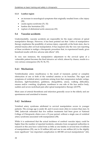#### **5.3.3 Lumbar region**

- an increase in neurological symptoms that originally resulted from a disc injury (50)
- cauda equina syndrome (51, 52)
- lumbar disc herniation (52)
- rupture of abdominal aortic aneurysm (53)

## **5.4 Vascular accidents**

Understandably, vascular accidents are responsible for the major criticism of spinal manipulative therapy. However, it has been pointed out that "critics of manipulative therapy emphasize the possibility of serious injury, especially at the brain stem, due to arterial trauma after cervical manipulation. It has required only the very rare reporting of these accidents to malign a therapeutic procedure that, in experienced hands, gives beneficial results with few adverse side effects" (43).

In very rare instances, the manipulative adjustment to the cervical spine of a vulnerable patient becomes the final intrusive act which, almost by chance, results in a very serious consequence (54, 55, 56, 57).

# **5.4.1 Mechanism**

Vertebrobasilar artery insufficiency is the result of transient, partial or complete obstruction of one or both of the vertebral arteries or its branches. The signs and symptoms of vertebral artery syndrome arising from that compression include vertigo, dizziness, light-headedness, giddiness, disequilibria, ataxia, walking difficulties, nausea and/or vomiting, dysphasia, numbness to one side of the face and/or body, sudden and severe neck/head pain after spinal manipulative therapy (43:579).

Most cases of arterial thrombosis and infarction generally occur in the elderly and are spontaneous and unrelated to trauma.

## **5.4.2 Incidence**

Vertebral artery syndrome attributed to cervical manipulation occurs in younger patients. The average age is under 40, and it occurs more often in women than men. In 1980, Jaskoviak estimated that five million treatments had been given at National College of Chiropractic clinics over a 15‐year period, without a single case of vertebral artery syndrome associated with manipulation (58).

While it is understood that the actual incidence of cerebral vascular injury could be higher than the number of reported incidents, estimates from recognized authorities in research in this area have varied from as little as one fatality in several tens of millions of manipulations (59), one in 10 million (60) and one in one million (61) to the slightly more significant "one important complication in 400 000 cervical manipulations" (62).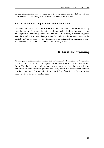Serious complications are very rare, and it would seem unlikely that the adverse occurrences have been solely attributable to the therapeutic intervention.

#### **5.5 Prevention of complications from manipulation**

Incidents and accidents that result from manipulative therapy can be prevented by careful appraisal of the patient's history and examination findings. Information must be sought about coexisting diseases and the use of medication, including long‐term steroid use and anticoagulant therapy. A detailed and meticulous examination must be carried out. The use of appropriate techniques is essential, and the chiropractor must avoid techniques known to be potentially hazardous (19:234‐235).

# **6. First aid training**

All recognized programmes in chiropractic contain standard courses in first aid, either taught within the institution or required to be taken from such authorities as Red Cross. This is the case in all training programmes, whether they are full‐time, conversion or standardization programmes. Also, within risk management courses, time is spent on procedures to minimize the possibility of injuries and the appropriate action to follow should an incident occur.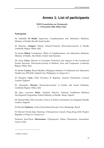# **Annex 1: List of participants**

#### **WHO Consultation on Chiropractic 2 ‐ 4 December 2004, Milan, Italy**

## **Participants**

Dr Abdullah **Al Bedah**, Supervisor, Complementary and Alternative Medicine, Ministry of Health, Riyadh, Saudi Arabia

Dr Maurizio Amigoni, Deputy Director-General, Directorate-General of Health, Lombardy Region, Milan, Italy

Dr Sassan **Behjat**, Coordinator, Office of Complementary and Alternative Medicine, Ministry of Health, Abu Dhabi, United Arab Emirates

Ms Anna **Caizzi**, Director of Consumer Protection and Support to the Commercial System Structure, Directorate‐General of Markets, Fairs and Congresses, Lombardy Region, Milan, Italy

Dr Martin **Camara**, Board Member, Philippine Institute of Traditional and Alternative Health Care (PITAHC), Makati City, Philippines *(Co‐Rapporteur)*

Dr Margaret **Coats**, Chief Executive & Registrar, General Chiropractic Council, London, England

Dr Alessandro **Discalzi,** Directorate‐General of Family and Social Solidarity, Lombardy Region, Milan, Italy

Mr Igwe Lawrence **Eleke**, Assistant Director, National Traditional Medicine Development Programme, Federal Ministry of Health, Abuja, Nigeria1

Mr Michael **Fox,** Chief Executive, Prince of Walesʹs Foundation for Integrated Health, London, England

Dr Ricardo **Fujikawa**, Centro Universitario Feevale, Novo Hamburgo, Brazil

Dr Edward Tin‐tak **Lee**, Chairman, Chiropractors Council, Hong Kong SAR, Peopleʹs Republic of China *(Co‐Chairperson)*

Professor Jean‐Pierre **Meersseman**, Chiropractor, Italian Chiropractic Association, Genova, Italy

<u> 1989 - Johann Barn, mars eta bainar eta bainar eta baina eta baina eta baina eta baina eta baina eta baina e</u>

<sup>&</sup>lt;sup>1</sup> Unable to attend.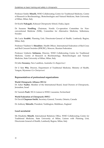Professor Emilio **Minelli,** WHO Collaborating Centre for Traditional Medicine, Centre of Research in Bioclimatology, Biotechnologies and Natural Medicine, State University of Milan, Milan, Italy

Dr Koichi **Nakagaki**, Kokusai Chiropractic School, Osaka, Japan

Dr Susanne Nordling, Chairman, Nordic Co-operation Committee for Nonconventional Medicine (NSK), Committee for Alternative Medicine, Sollentuna, Sweden

Ms Lucia **Scrabbi**, Planning Unit, Directorate‐General of Health, Lombardy Region, Milan, Italy

Professor Vladimir S. **Shoukhov**, Health Officer, International Federation of Red Cross and Red Crescent Societies (IFRCRC), Moscow, Russian Federation

Professor Umberto **Solimene,** Director, WHO Collaborating Centre for Traditional Medicine, Centre of Research in Bioclimatology, Biotechnologies and Natural Medicine, State University of Milan, Milan, Italy

Dr John **Sweaney,** New Lambton, Australia *(Co‐Rapporteur)*

Dr U Sein **Win**, Director, Department of Traditional Medicine, Ministry of Health, Yangon, Myanmar *(Co‐Chairperson)*

#### **Representatives of professional organizations**

#### **World Chiropractic Alliance (WCA)**

Dr Asher **Nadler**, Member of the International Board, Israel Doctors of Chiropractic, Jerusalem, Israel

Dr Yannick **Pauli**, WCA Liaison to WHO, Lausanne, Switzerland

#### **World Federation of Chiropractic (WFC)**

Dr David **Chapman‐Smith**, Secretary‐General, Toronto, Ontario, Canada

Dr Anthony **Metcalfe**, President, Teddington, Middlesex, England

#### **Local secretariat**

Ms Elisabetta **Minelli**, International Relations Office, WHO Collaborating Centre for Traditional Medicine, State University of Milan, Liaison with Planning Unit, Directorate‐General of Health, Lombardy Region, Milan, Italy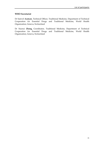#### **WHO Secretariat**

Dr Samvel **Azatyan**, Technical Officer, Traditional Medicine, Department of Technical Cooperation for Essential Drugs and Traditional Medicine, World Health Organization, Geneva, Switzerland

Dr Xiaorui **Zhang,** Coordinator, Traditional Medicine, Department of Technical Cooperation for Essential Drugs and Traditional Medicine, World Health Organization, Geneva, Switzerland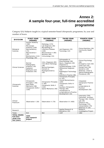# **Annex 2: A sample four-year, full-time accredited programme**

Category I(A) Subjects taught in a typical semester-based chiropractic programme, by year and number of hours.

| <b>DIVISION</b>                                                     | <b>FIRST YEAR</b><br>(HOURS)                                                                                                                      | <b>SECOND YEAR</b><br>(HOURS)                                                                                                                              | THI RD YEAR<br>(HOURS)                                                                                                                                                                                                                | <b>FOURTH YEAR</b><br>(HOURS)                                                                                                                                               |  |
|---------------------------------------------------------------------|---------------------------------------------------------------------------------------------------------------------------------------------------|------------------------------------------------------------------------------------------------------------------------------------------------------------|---------------------------------------------------------------------------------------------------------------------------------------------------------------------------------------------------------------------------------------|-----------------------------------------------------------------------------------------------------------------------------------------------------------------------------|--|
| Biological<br>Sciences                                              | Human Anatomy<br>(180)<br>Microscopic<br>Anatomy (140)<br>Neuroanatomy<br>(72)<br>Neuroscience I<br>(32)<br>Biochemistry (112)<br>Physiology (36) | Pathology (174)<br>Lab Diagnosis (40)<br>Microbiology &<br><b>Infectious Disease</b><br>(100)<br>Neuroscience II (85)<br>Nutrition (60)<br>Immunology (15) | Lab Diagnosis (32)<br>Toxicology (12)                                                                                                                                                                                                 | Clinical Nutrition (26)<br><b>Community Health</b><br>(40)                                                                                                                  |  |
| <b>Clinical Sciences</b>                                            | Normal<br>Radiographic<br>Anatomy (16)<br>Radiation<br>Biophysics and<br>Protection (44)                                                          | Intro. Diagnosis (85)<br>Intro Bone Pathology<br>(48)<br>Normal Roentgen,<br>Variants &<br>Roentgenometrics<br>(40)                                        | Orthopaedics &<br>Rheumatology (90)<br>Neuro. Diagnosis (40)<br>Diagnosis &<br>Symptomatology (120)<br><b>Differential Diagnosis</b><br>(30)<br>Radiological Technology<br>(40)<br>Arthritis & Trauma (48)                            | Clinical Psychology<br>(46)<br>Emergency Care (50)<br>Child Care (20)<br>Female Care (30)<br>Geriatrics (20)<br>Abdomen, Chest &<br>Special Radiographic<br>Procedures (40) |  |
| Chiropractic<br><b>Sciences</b>                                     | Chiropractic<br>Principles I (56)<br><b>Basic Body</b><br>Mechanics (96)<br>Chiropractic Skills I<br>(100)                                        | <b>Chiropractic Principles</b><br>II(60)<br>Chiropractic Skills II<br>(145)<br>Spinal Mechanics (40)                                                       | <b>Chiropractic Principles</b><br>III(42)<br><b>Clinical Biomechanics</b><br>(100)<br>Chiropractic Skills III<br>(145)<br>Auxiliary Chiropractic<br>Therapy $(60)$<br>Introduction to<br>Jurisprudence & Practice<br>Development (16) | Integrated<br>Chiropractic Practice<br>(90)<br>Jurisprudence &<br>Practical<br>Development (50)                                                                             |  |
| Clinical<br>Practicum                                               | Observation I (30)                                                                                                                                | Observation II (70)                                                                                                                                        | Observation III (400)                                                                                                                                                                                                                 | Internship (750)<br>Clerkships: Auxiliary<br>Therapy (30); Clinical<br>Lab (20)<br>Clinical X-ray:<br>Technology (70);<br>Interpretation (70)<br>Observer IV (30)           |  |
| Research                                                            |                                                                                                                                                   |                                                                                                                                                            | Applied Research &<br>Biometrics (32)                                                                                                                                                                                                 | Research<br>Investigative Project                                                                                                                                           |  |
| Totals                                                              | 914                                                                                                                                               | 962                                                                                                                                                        | 1207                                                                                                                                                                                                                                  | 1382                                                                                                                                                                        |  |
| <b>TOTAL HOURS</b><br><b>Full-time</b><br>study over<br>four years: | 4465<br>plus research<br>project                                                                                                                  |                                                                                                                                                            |                                                                                                                                                                                                                                       |                                                                                                                                                                             |  |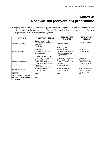# **Annex 3: A sample full (conversion) programme**

Category I(B) Essentially, conversion programmes are dependent upon assessment of the medical training of the student cohort. They are then designed so as to complete satisfactorily all requirements of a full chiropractic programme.

| <b>DIVISION</b>                                                        | <b>FIRST YEAR (HOURS)</b>                                                                                                                                                          | <b>SECOND YEAR</b><br>(HOURS)                                                                                             | <b>THIRD YEAR</b><br>(HOURS)                                                      |  |  |
|------------------------------------------------------------------------|------------------------------------------------------------------------------------------------------------------------------------------------------------------------------------|---------------------------------------------------------------------------------------------------------------------------|-----------------------------------------------------------------------------------|--|--|
| <b>Biological Sciences</b>                                             | Spinal Anatomy (45)<br>Laboratory Diagnosis (30)<br>Pathology (60)<br>Physiology (45)                                                                                              | Pathology (120)                                                                                                           | <b>Clinical Nutrition</b><br>(45)                                                 |  |  |
| <b>Clinical Sciences</b>                                               | Radiology (90)<br>Neuromusculoskeletal<br>Diagnosis (30)                                                                                                                           | Radiology (90)<br>Neurology (45)<br>Physical Diagnosis (30)<br>Neuromusculoskeletal<br>Diagnosis (30)                     | Paediatrics (45)<br>Geriatrics (30)                                               |  |  |
| <b>Chiropractic Sciences</b>                                           | Chiropractic History (30)<br>Principles & Philosophy of<br>Chiropractic (20)<br>Spinal Biomechanics (60)<br>Static & Dynamic Spinal<br>Palpation (30)<br>Chiropractic Skills (180) | Principles & Philosophy of<br>Chiropractic (20)<br>Static & Dynamic Spinal<br>Palpation (60)<br>Chiropractic Skills (120) | Principles &<br>Philosophy of<br>Chiropractic (20)<br>Chiropractic Skills<br>(60) |  |  |
| Clinical Practicum                                                     | Supervised Clinical<br>Practicum (120)                                                                                                                                             | Supervised Clinical<br>Practicum (225)                                                                                    | Supervised Clinical<br>Practicum (500)                                            |  |  |
| Research                                                               |                                                                                                                                                                                    |                                                                                                                           | Research (25)                                                                     |  |  |
| <b>TOTALS</b>                                                          | 740                                                                                                                                                                                | 740                                                                                                                       | 725                                                                               |  |  |
| <b>TOTAL HOURS Full-time</b><br>or part-time study over<br>three years | 2205                                                                                                                                                                               |                                                                                                                           |                                                                                   |  |  |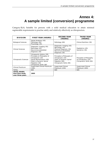# **Annex 4: A sample limited (conversion) programme**

Category II(A) Suitable for persons with a solid medical education to attain minimal registerable requirements to practise safely and relatively effectively as chiropractors.

| <b>DIVISION</b>                                           | <b>FIRST YEAR (HOURS)</b>                                                                                                                                                         | <b>SECOND YEAR</b><br>(HOURS)                                                                                            | <b>THIRD YEAR</b><br>(HOURS)                                                |  |
|-----------------------------------------------------------|-----------------------------------------------------------------------------------------------------------------------------------------------------------------------------------|--------------------------------------------------------------------------------------------------------------------------|-----------------------------------------------------------------------------|--|
| <b>Biological Sciences</b>                                | Spinal Anatomy (45)<br>Pathology (60)<br>Physiology (45)                                                                                                                          | Pathology (60)                                                                                                           | Clinical Nutrition (30)                                                     |  |
| <b>Clinical Sciences</b>                                  | Diagnostic Imaging (45)<br>Neurology (45)<br>Neuromusculoskeletal<br>Diagnosis (30)                                                                                               | Diagnostic Imaging (45)<br>Neurology (45)<br>Physical Diagnosis (30)<br>Neuromusculoskeletal<br>Diagnosis (30)           | Paediatrics (45)<br>Geriatrics (30)                                         |  |
| <b>Chiropractic Sciences</b>                              | Chiropractic History (30)<br>Principles & Philosophy of<br>Chiropractic (20)<br>Spinal Biomechanics (60)<br>Static & Dynamic Spinal<br>Palpation (30)<br>Chiropractic Skills (90) | Principles & Philosophy of<br>Chiropractic (20)<br>Static & Dynamic Spinal<br>Palpation (60)<br>Chiropractic Skills (90) | Principles & Philosophy<br>of Chiropractic (20)<br>Chiropractic Skills (60) |  |
| <b>Clinical Practicum</b>                                 | Supervised Clinical Practicum<br>(100)                                                                                                                                            | Supervised Clinical<br>Practicum (220)                                                                                   | Supervised Clinical<br>Practicum (420)                                      |  |
| <b>TOTAL</b>                                              | 600                                                                                                                                                                               | 600                                                                                                                      | 605                                                                         |  |
| <b>TOTAL HOURS</b><br>Part-time study<br>over three years | 1805                                                                                                                                                                              |                                                                                                                          |                                                                             |  |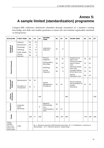# **Annex 5: A sample limited (standardization) programme**

Category II(B) Addresses deficiencies identified through assessment of a student's existing knowledge and skills and enables graduates to attain safe and minimal registerable standards as chiropractors.

| <b>DIVISION</b>                                                        | <b>FIRST YEAR</b>                                                                            | DL                               | <b>IR</b>                                                                                                                              | CP  | <b>SECOND</b><br><b>YEAR</b>                                     | <b>DL</b>      | <b>IR</b>      | <b>CP</b> | <b>THIRD YEAR</b>                                                                                        | DL             | IR.            | <b>CP</b> |
|------------------------------------------------------------------------|----------------------------------------------------------------------------------------------|----------------------------------|----------------------------------------------------------------------------------------------------------------------------------------|-----|------------------------------------------------------------------|----------------|----------------|-----------|----------------------------------------------------------------------------------------------------------|----------------|----------------|-----------|
| Biological<br>Sciences                                                 | Anatomy<br>Biochemistry<br>Physiology<br>Pathology<br>Public Health<br>Clinical<br>Nutrition | 56<br>56<br>56<br>70<br>56<br>56 | 24<br>4<br>4<br>12<br>4<br>4                                                                                                           |     | Laboratory<br>Diagnosis                                          | 42             | 8              |           |                                                                                                          |                |                |           |
| <b>Clinical Sciences</b>                                               |                                                                                              |                                  |                                                                                                                                        |     | Physical<br>Diagnosis<br>Orthopaedics/<br>Neurology<br>Radiology | 56<br>56<br>56 | 14<br>14<br>16 |           | Head/Cervical<br>Spine Care<br>Thoracic/Lumbar<br>Spine & Pelvis<br>Care<br>Hip/Knee/Ankle/<br>Foot Care | 70<br>70<br>70 | 20<br>20<br>20 |           |
|                                                                        |                                                                                              |                                  |                                                                                                                                        |     | Clinical<br>Diagnosis                                            | 56             | 9              |           | Shoulder/Elbow/<br>Wrist/Hand Care<br>Special<br>Population Care                                         | 70<br>56       | 20<br>24       |           |
| Chiropractic<br>Sciences                                               | Biomechanics<br>Principles of<br>Chiropractic                                                | 56<br>42                         | 16<br>3                                                                                                                                |     | Patient<br>Management<br>Procedures                              | 42             | 18             |           | Record Keeping,<br>Documentation &<br>Quality<br>Assurance                                               | 42             | 16             |           |
| Practicum<br>Clinical                                                  |                                                                                              |                                  |                                                                                                                                        | 400 |                                                                  |                |                | 400       |                                                                                                          |                |                | 400       |
| Research                                                               | Computer<br><b>Skills</b><br>Workshop                                                        |                                  |                                                                                                                                        | 6   | Research<br>Methodology<br>First<br>Aid/Emergency<br>Care        | 50<br>28       | 24             |           |                                                                                                          |                |                |           |
| n<br>Total                                                             |                                                                                              | 448                              | 71                                                                                                                                     | 406 |                                                                  | 486            | 103            | 400       |                                                                                                          | 378            | 100            | 400       |
| <b>TOTAL</b><br><b>HOURS</b><br>Part-time<br>study over<br>three years | 2790                                                                                         |                                  | $DL = Distance Learning (Self Directed Learning); IR = In Residence (Lectures &$<br>Workshops); $CP = Clinical Practicum (Supervised)$ |     |                                                                  |                |                |           |                                                                                                          |                |                |           |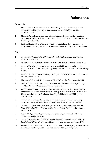# **References**

#### **Introduction**

- 1. Meade TW et al. Low back pain of mechanical origin: randomised comparison of chiropractic and hospital outpatient treatment. *British Medical Journal*, 1990, 300(6737):1431‐37.
- 2. Meade TW et al. Randomised comparison of chiropractic and hospital outpatient management for low back pain: results from extended follow up. *British Medical Journal*, 1995, 311(7001):349‐351.
- 3. Baldwin ML et al. Cost‐effectiveness studies of medical and chiropractic care for occupational low back pain: A critical review of the literature. *Spine*, 2001, 1(2):138‐147.

#### **Part 1**

- 4. Withington BT. *Hippocrates, with an English translation*. Cambridge, MA, Harvard University Press, 1928.
- 5. Palmer DD. *The chiropractor's adjustor.* Portland, OR, Portland Printing House, 1910.
- 6. Gibbons RW. Medical and social protest as part of hidden American history. In: Haldeman S, ed. *Principles and practice of chiropractic*. East Norwalk, CT, Appleton Lang, 1992:17.
- 7. Palmer DD. *Three generations: a history of chiropractic*. Davenport, Iowa, Palmer College of Chiropractic, 1967:29.
- 8. Ehrenreich B, English E. *For her own good*. New York, Anchor/Doubleday, 1978:16.
- 9. Coulter ID. What is chiropractic? In: McNamee KP. *The chiropractic college directory, 1997‐98*, 5th ed. Los Angeles, CA, KM Enterprises, 1997.
- 10. World Federation of Chiropractic. *Consensus statements and the ACC position paper on chiropractic: The chiropractic paradigm* (Proceedings of the conference on Philosophy in Chiropractic Education). Fort Lauderdale, FL, World Federation of Chiropractic Toronto, 2000.
- 11. Gatterman MI, Hansen DT. Development of chiropractic nomenclature through consensus. *Journal of Manipulative and Physiological Therapeutics*, 1974, 17(5):308.
- 12. Guthrie HN. *Report of the Honorary Royal Commission to Inquire into Provisions of the Natural Therapists Bill in Western Australia*. Perth, Western Australian Government Printer, 1961.
- 13. Lacroix G. *Report of the Royal Commission on Chiropraxy and Osteopathy*. Quebec, Government of Quebec, 1965.
- 14. Teece J. *Report of the New South Wales Health Commission Inquiry into the Question of Registration of Chiropractors*. Sydney, New South Wales Government Printer, 1975.
- 15. Webb EC. *Report of the Committee of Inquiry into Chiropractic, Osteopathy, Homeopathy and Naturopathy*. Canberra, Australian Government Publishing Service, 1977.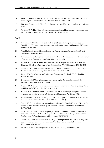- 16. Inglis BD, Fraser B, Penfold BR. *Chiropractic in New Zealand report: Commission of Inquiry into Chiropractic*. Wellington, New Zealand Printer, 1979:105‐106.
- 17. Bingham T. *Report of the Kings Fund Working Party on Chiropractic*. London, King's Fund, 1993.
- 18. Vindigni D, Perkins J. Identifying musculoskeletal conditions among rural indigenous peoples. *Australian Journal of Rural Health*, 2003, 11(4):187‐192.

#### **Part 2**

- 19. Gatterman M. Standards for contraindications to spinal manipulative therapy. In: Vear HJ, ed. *Chiropractic standards of practice and quality of care*. Gaithersburg, MD, Aspen Publishers Inc, 1992.
- 20. Vear HJ. Standards of chiropractic practice. *Journal of Manipulative and Physiological Therapeutics*, 1985, 8(1):33‐43.
- 21. Gatterman MI. Indications for spinal manipulation in the treatment of back pain. *Journal of the American Chiropractic Association*, 1982, 19(10):51‐66.
- 22. Haldeman S. Spinal manipulative therapy in the management of low back pain. In: Finneson GE, ed. *Low back pain,* 2nd ed. Philadelphia, PA, JB Lippincott, 1980:260‐280.
- 23. Gatterman MI. Contraindications and complications of spinal manipulation therapy. *Journal of the American Chiropractic Association*, 1981, 15:575‐586.
- 24. Palmer DD. *The science, art and philosophy of chiropractic*. Portland, OR, Portland Printing House, 1910:101.
- 25. Gatterman MI. *Chiropractic management of spine related disorders*. Baltimore, MD, Lippincott, Williams & Wilkins, 1990.
- 26. Cassidy JD, Potter GE. Motion examination of the lumbar spine. *Journal of Manipulative and Physiological Therapeutics*, 1979, 2(3):151‐158.
- 27. Haldeman S, Chapman‐Smith D, Petersen DM, eds. *Guidelines for chiropractic quality assurance and practice parameters.* Gaithersburg, MD, Aspen Publishers, 1992.
- 28. Henderson DJ et al., eds. Clinical guidelines for chiropractic practice in Canada. *Journal of the Canadian Chiropractic Association*, 1994 (Suppl.), 38(1).
- 29. Singer KP. Contraindications to spinal manipulation. In: Giles LGF, Singer KP, eds. *The clinical anatomy and management of low‐back pain*. Oxford, Butterworth‐Heinemann, 1997:387‐391.
- 30. Giles LGF. Diagnosis of thoracic spine pain and contraindications to spinal mobilization and manipulation. In: Giles LGF, Singer KP, eds. *The clinical anatomy and management of low‐back pain*. Oxford, Butterworth‐Heinemann, 1997:283‐297.
- 31. Terrett AGJ. Contraindications to cervical spine manipulation. In: Giles LGF, Singer KP, eds. *The clinical anatomy and management of low‐back pain*. Oxford, Butterworth‐ Heinemann, 1997:192‐210.
- 32. Stoddard A. *Manual of osteopathic medicine*, 2nd ed. London, Hutchinson, 1983.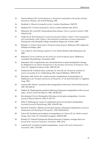- 33. Haynes‐Mazion LM. *Contraindications to chiropractic manipulation with specific technique alternatives*. Phoenix, AZ, K & M Printing, 1995.
- 34. Stoddard A. *Manual of osteopathic practice*. London, Hutchinson, 1969:279.
- 35. Maitland GD. *Vertebral manipulation*, 3rd ed. London, Butterworth, 1973:4.
- 36. Bohannon AD, Lyles KW. Drug‐induced bone disease. *Clinics in geriatric medicine*, 1994, 10(4):611‐623.
- 37. Walker B, ed. *Risk Management Continuing Education Module. Chapter 1 Neck manipulation and vertebrobasilar stroke, Chapter 5 Musculoskeletal complications of spinal manipulation.* Chiropractic and Osteopath College Australasia, Ringwood, Victoria, 2002.
- 38. Belanger A. *Evidence‐based guide to therapeutic physical agents*. Baltimore, MD, Lippincott, Williams & Wilkins, 2003.
- 39. Low J, Reed A. *Electrotherapy explained*, 3rd ed. Oxford, Butterworth‐Heinemann Ltd, 2000.
- 40. Robertson V et al. *Guidelines for the clinical use of electro‐physical agents*. Melbourne, Australian Physiotherapy Association, 2001.
- 41. Kleynhans AM. Complications and contraindications to spinal manipulative therapy. In: Haldeman S, ed. *Modern developments in the principles and practice of chiropractic.* New York, NY, Appleton‐Century‐Crofts, 1980:133‐141.
- 42. Henderson DJ. Vertebral artery syndrome. In: Vear HJ, ed. *Chiropractic standards of practice and quality of care*. Gaithersburg, MD, Aspen Publishers, 1992:137‐138.
- 43. Kleynhans AM, Terrett AG. Cerebrovascular complications of manipulation. In: Haldeman S, ed. *Principles and practice of chiropractic*, 2nd ed. East Norwalk, CT, Appleton Lang, 1992.
- 44. Grayson MF. Horner's syndrome after manipulation of the neck. *British Medical Journal*, 1987, 295:1382‐83.
- 45. Heffner JE. Diaphragmatic paralysis following chiropractic manipulation of the cervical spine. *Archives of Internal Medicine*, 1985, 145:562‐563.
- 46. Kewalramani LS et al. Myelopathy following cervical spine manipulation. *American Journal of Physical Medicine*, 1982, 61:165‐175.
- 47. Mann T, Refshauge K. Causes of complication from cervical spine manipulation. *Australian Journal of Physiotherapy*, 2001, 47(4):255‐266.
- 48. Brynin R, Yomtob C. Missed cervical spine fracture: chiropractic implications. *Journal of Manipulative and Physiological Therapeutics*, 1999, 22(9):610‐614.
- 49. Grieve GP. Incidents and accidents of manipulation. In: Grieve GP, ed. *Modern manual therapy.* New York, NY, Churchill Livingston, 1986:873‐889.
- 50. Bromley W. National Chiropractic Mutual Insurance Company: stronger than ever. *Journal of the American Chiropractic Association*, 1989, 26:52.
- 51. Laderman JP. Accidents of spinal manipulation. *Annals of the Swiss Chiropractors' Association*, 1981, 7:162‐208.